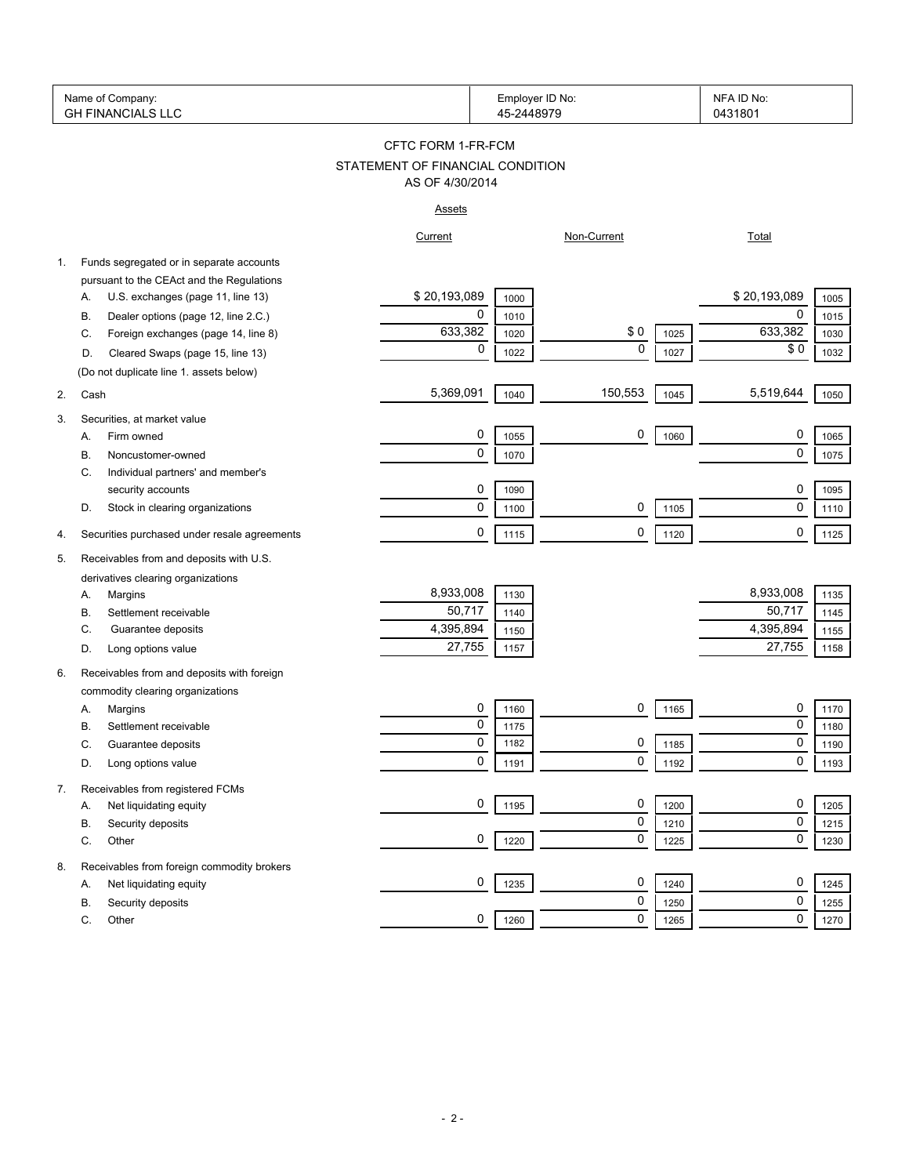|    | Name of Company:<br><b>GH FINANCIALS LLC</b> |                                  | 45-2448979 | Employer ID No: |      | NFA ID No:<br>0431801       |
|----|----------------------------------------------|----------------------------------|------------|-----------------|------|-----------------------------|
|    |                                              | CFTC FORM 1-FR-FCM               |            |                 |      |                             |
|    |                                              | STATEMENT OF FINANCIAL CONDITION |            |                 |      |                             |
|    |                                              | AS OF 4/30/2014                  |            |                 |      |                             |
|    |                                              | <u>Assets</u>                    |            |                 |      |                             |
|    |                                              | Current                          |            | Non-Current     |      | <b>Total</b>                |
| 1. | Funds segregated or in separate accounts     |                                  |            |                 |      |                             |
|    | pursuant to the CEAct and the Regulations    |                                  |            |                 |      |                             |
|    | U.S. exchanges (page 11, line 13)<br>А.      | \$20,193,089                     | 1000       |                 |      | \$20,193,089<br>1005        |
|    | Dealer options (page 12, line 2.C.)<br>В.    | 0                                | 1010       |                 |      | 0<br>1015                   |
|    | Foreign exchanges (page 14, line 8)<br>C.    | 633,382                          | 1020       | \$0             | 1025 | 633,382<br>1030             |
|    | Cleared Swaps (page 15, line 13)<br>D.       | 0                                | 1022       | $\mathbf 0$     | 1027 | \$0<br>1032                 |
|    | (Do not duplicate line 1. assets below)      |                                  |            |                 |      |                             |
| 2. | Cash                                         | 5,369,091                        | 1040       | 150,553         | 1045 | 5,519,644<br>1050           |
| 3. | Securities, at market value                  |                                  |            |                 |      |                             |
|    | Firm owned<br>А.                             | 0                                | 1055       | 0               | 1060 | 0<br>1065                   |
|    | Noncustomer-owned<br>В.                      | 0                                | 1070       |                 |      | $\mathbf 0$<br>1075         |
|    | Individual partners' and member's<br>C.      |                                  |            |                 |      |                             |
|    | security accounts                            | 0                                | 1090       |                 |      | 0<br>1095                   |
|    | D.<br>Stock in clearing organizations        | 0                                | 1100       | 0               | 1105 | $\pmb{0}$<br>1110           |
| 4. | Securities purchased under resale agreements | 0                                | 1115       | 0               | 1120 | $\mathbf 0$<br>1125         |
|    |                                              |                                  |            |                 |      |                             |
| 5. | Receivables from and deposits with U.S.      |                                  |            |                 |      |                             |
|    | derivatives clearing organizations           |                                  |            |                 |      |                             |
|    | Margins<br>Α.                                | 8,933,008<br>50,717              | 1130       |                 |      | 8,933,008<br>1135<br>50,717 |
|    | Settlement receivable<br>В.                  | 4,395,894                        | 1140       |                 |      | 1145<br>4,395,894           |
|    | C.<br>Guarantee deposits                     | 27,755                           | 1150       |                 |      | 1155<br>27,755              |
|    | Long options value<br>D.                     |                                  | 1157       |                 |      | 1158                        |
| 6. | Receivables from and deposits with foreign   |                                  |            |                 |      |                             |
|    | commodity clearing organizations             |                                  |            |                 |      |                             |
|    | Margins<br>Α.                                | 0                                | 1160       | 0               | 1165 | 0<br>1170                   |
|    | Settlement receivable<br>В.                  | 0                                | 1175       |                 |      | 0<br>1180                   |
|    | C<br>Guarantee deposits                      | $\Omega$                         | 1182       | 0               | 1185 | $\Omega$<br>1190            |
|    | Long options value<br>D.                     | 0                                | 1191       | 0               | 1192 | 0<br>1193                   |
| 7. | Receivables from registered FCMs             |                                  |            |                 |      |                             |
|    | Net liquidating equity<br>Α.                 | 0                                | 1195       | 0               | 1200 | 0<br>1205                   |
|    | Security deposits<br>В.                      |                                  |            | 0               | 1210 | $\mathbf 0$<br>1215         |
|    | C.<br>Other                                  | 0                                | 1220       | 0               | 1225 | 0<br>1230                   |
| 8. | Receivables from foreign commodity brokers   |                                  |            |                 |      |                             |
|    | Net liquidating equity<br>Α.                 | 0                                | 1235       | 0               | 1240 | 0<br>1245                   |
|    | Security deposits<br>В.                      |                                  |            | 0               | 1250 | 0<br>1255                   |
|    | С.<br>Other                                  | 0                                | 1260       | 0               | 1265 | 0<br>1270                   |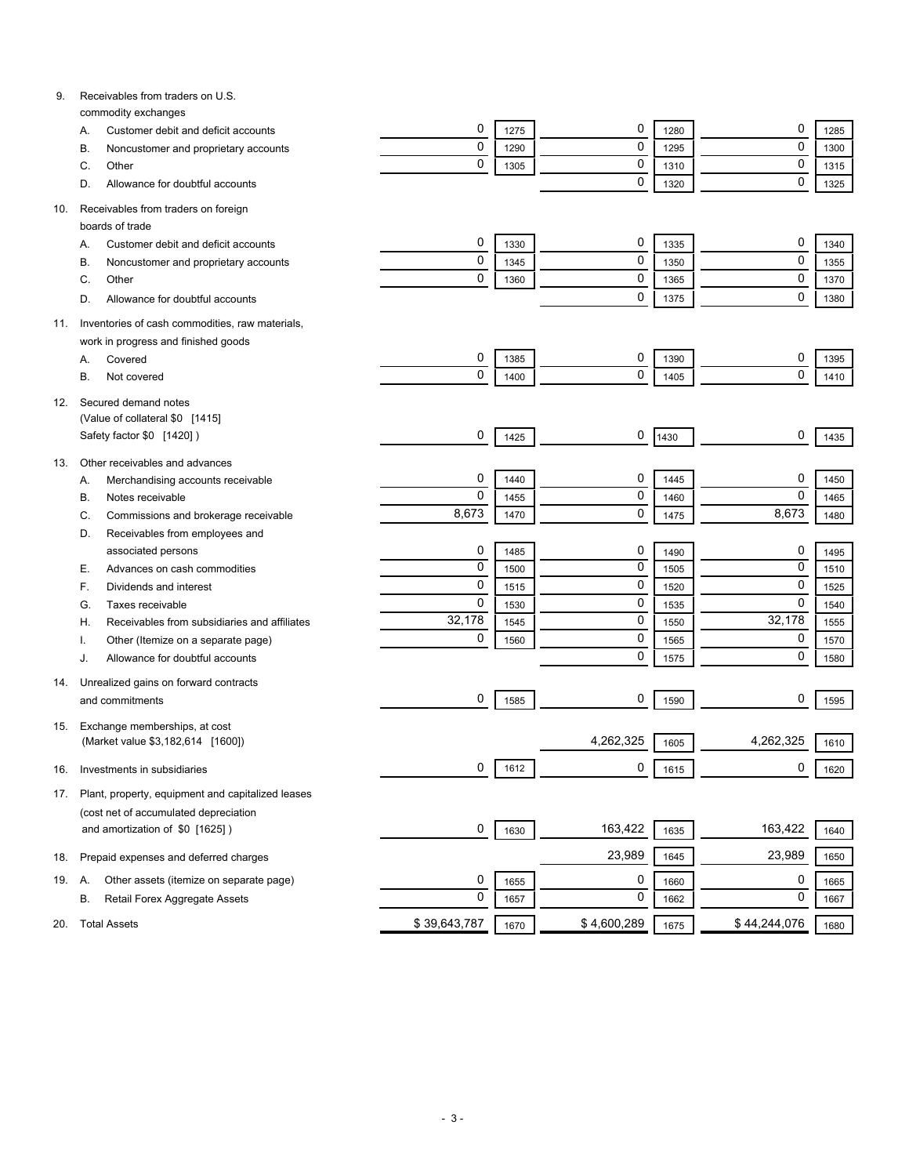| 9.  | Receivables from traders on U.S.                    |              |              |             |      |              |              |
|-----|-----------------------------------------------------|--------------|--------------|-------------|------|--------------|--------------|
|     | commodity exchanges                                 | 0            |              | 0           |      | 0            |              |
|     | Customer debit and deficit accounts<br>А.           | $\mathbf 0$  | 1275         | 0           | 1280 | $\mathbf 0$  | 1285         |
|     | В.<br>Noncustomer and proprietary accounts<br>Other | $\mathbf 0$  | 1290<br>1305 | 0           | 1295 | 0            | 1300<br>1315 |
|     | C.<br>Allowance for doubtful accounts               |              |              | 0           | 1310 | $\mathbf 0$  |              |
|     | D.                                                  |              |              |             | 1320 |              | 1325         |
| 10. | Receivables from traders on foreign                 |              |              |             |      |              |              |
|     | boards of trade                                     |              |              |             |      |              |              |
|     | Customer debit and deficit accounts<br>Α.           | 0            | 1330         | 0           | 1335 | 0            | 1340         |
|     | Noncustomer and proprietary accounts<br>B           | 0            | 1345         | 0           | 1350 | $\mathbf 0$  | 1355         |
|     | Other<br>C.                                         | $\mathbf 0$  | 1360         | 0           | 1365 | $\mathbf 0$  | 1370         |
|     | Allowance for doubtful accounts<br>D.               |              |              | 0           | 1375 | $\mathbf 0$  | 1380         |
| 11. | Inventories of cash commodities, raw materials,     |              |              |             |      |              |              |
|     | work in progress and finished goods                 |              |              |             |      |              |              |
|     | Covered<br>А.                                       | 0            | 1385         | 0           | 1390 | 0            | 1395         |
|     | В.<br>Not covered                                   | 0            | 1400         | 0           | 1405 | $\mathbf 0$  | 1410         |
|     |                                                     |              |              |             |      |              |              |
| 12. | Secured demand notes                                |              |              |             |      |              |              |
|     | (Value of collateral \$0 [1415]                     |              |              |             |      |              |              |
|     | Safety factor \$0 [1420])                           | 0            | 1425         | 0           | 1430 | 0            | 1435         |
| 13. | Other receivables and advances                      |              |              |             |      |              |              |
|     | Merchandising accounts receivable<br>А.             | 0            | 1440         | 0           | 1445 | 0            | 1450         |
|     | В.<br>Notes receivable                              | 0            | 1455         | 0           | 1460 | $\mathbf 0$  | 1465         |
|     | Commissions and brokerage receivable<br>C.          | 8,673        | 1470         | 0           | 1475 | 8,673        | 1480         |
|     | Receivables from employees and<br>D.                |              |              |             |      |              |              |
|     | associated persons                                  | 0            | 1485         | 0           | 1490 | 0            | 1495         |
|     | Advances on cash commodities<br>Е.                  | 0            | 1500         | 0           | 1505 | 0            | 1510         |
|     | F.<br>Dividends and interest                        | 0            | 1515         | 0           | 1520 | 0            | 1525         |
|     | Taxes receivable<br>G.                              | 0            | 1530         | 0           | 1535 | $\mathbf 0$  | 1540         |
|     | Receivables from subsidiaries and affiliates<br>Η.  | 32,178       | 1545         | 0           | 1550 | 32,178       | 1555         |
|     | Other (Itemize on a separate page)                  | 0            | 1560         | 0           | 1565 | 0            | 1570         |
|     | Allowance for doubtful accounts<br>J.               |              |              | 0           | 1575 | 0            | 1580         |
| 14. | Unrealized gains on forward contracts               |              |              |             |      |              |              |
|     | and commitments                                     | 0            | 1585         | 0           | 1590 | 0            | 1595         |
|     |                                                     |              |              |             |      |              |              |
| 15. | Exchange memberships, at cost                       |              |              |             |      |              |              |
|     | (Market value \$3,182,614 [1600])                   |              |              | 4,262,325   | 1605 | 4,262,325    | 1610         |
| 16. | Investments in subsidiaries                         | 0            | 1612         | 0           | 1615 | 0            | 1620         |
| 17. | Plant, property, equipment and capitalized leases   |              |              |             |      |              |              |
|     | (cost net of accumulated depreciation               |              |              |             |      |              |              |
|     | and amortization of \$0 [1625])                     | 0            | 1630         | 163,422     | 1635 | 163,422      | 1640         |
|     |                                                     |              |              |             |      |              |              |
| 18. | Prepaid expenses and deferred charges               |              |              | 23,989      | 1645 | 23,989       | 1650         |
| 19. | Other assets (itemize on separate page)<br>А.       | 0            | 1655         | 0           | 1660 | 0            | 1665         |
|     | В.<br>Retail Forex Aggregate Assets                 | $\mathbf 0$  | 1657         | 0           | 1662 | $\mathbf 0$  | 1667         |
|     |                                                     |              |              |             |      |              |              |
| 20. | <b>Total Assets</b>                                 | \$39,643,787 | 1670         | \$4,600,289 | 1675 | \$44,244,076 | 1680         |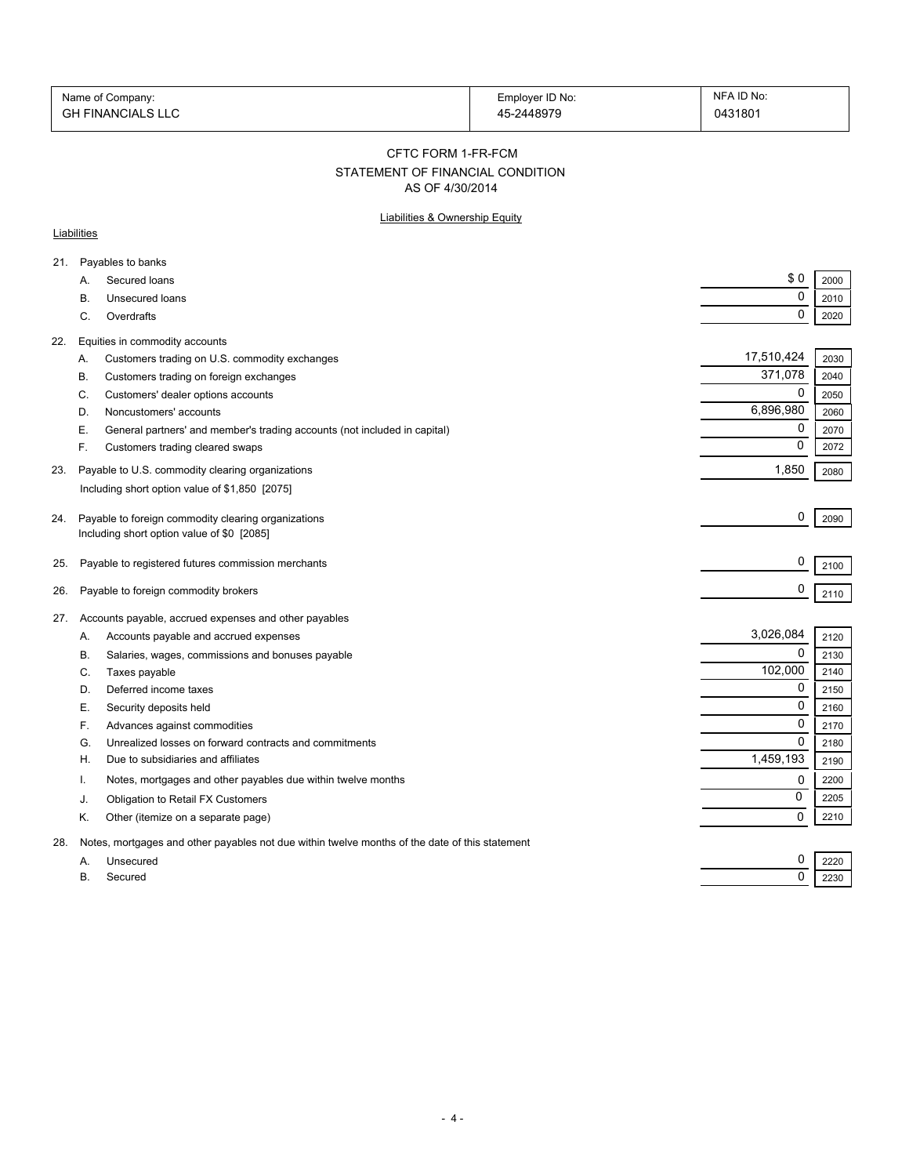| Name of Company:         | Employer ID No: | NFA ID No: |
|--------------------------|-----------------|------------|
| <b>GH FINANCIALS LLC</b> | 45-2448979      | 0431801    |

#### CFTC FORM 1-FR-FCM

# STATEMENT OF FINANCIAL CONDITION

AS OF 4/30/2014

### Liabilities & Ownership Equity

### **Liabilities**

| 21. |           | Payables to banks                                                                                 |             |      |
|-----|-----------|---------------------------------------------------------------------------------------------------|-------------|------|
|     | A.        | Secured loans                                                                                     | \$0         | 2000 |
|     | В.        | Unsecured loans                                                                                   | 0           | 2010 |
|     | C.        | Overdrafts                                                                                        | 0           | 2020 |
| 22. |           | Equities in commodity accounts                                                                    |             |      |
|     | Α.        | Customers trading on U.S. commodity exchanges                                                     | 17,510,424  | 2030 |
|     | В.        | Customers trading on foreign exchanges                                                            | 371,078     | 2040 |
|     | C.        | Customers' dealer options accounts                                                                | 0           | 2050 |
|     | D.        | Noncustomers' accounts                                                                            | 6,896,980   | 2060 |
|     | Е.        | General partners' and member's trading accounts (not included in capital)                         | 0           | 2070 |
|     | F.        | Customers trading cleared swaps                                                                   | 0           | 2072 |
| 23. |           | Payable to U.S. commodity clearing organizations                                                  | 1,850       | 2080 |
|     |           | Including short option value of \$1,850 [2075]                                                    |             |      |
|     |           |                                                                                                   | 0           |      |
| 24. |           | Payable to foreign commodity clearing organizations<br>Including short option value of \$0 [2085] |             | 2090 |
|     |           |                                                                                                   |             |      |
| 25. |           | Payable to registered futures commission merchants                                                | 0           | 2100 |
| 26. |           | Payable to foreign commodity brokers                                                              | 0           | 2110 |
|     |           |                                                                                                   |             |      |
| 27. |           | Accounts payable, accrued expenses and other payables                                             | 3,026,084   |      |
|     | А.        | Accounts payable and accrued expenses                                                             | 0           | 2120 |
|     | В.        | Salaries, wages, commissions and bonuses payable                                                  | 102,000     | 2130 |
|     | C.        | Taxes payable                                                                                     | 0           | 2140 |
|     | D.        | Deferred income taxes                                                                             |             | 2150 |
|     | Е.        | Security deposits held                                                                            | $\mathbf 0$ | 2160 |
|     | F.        | Advances against commodities                                                                      | 0           | 2170 |
|     | G.        | Unrealized losses on forward contracts and commitments                                            | $\Omega$    | 2180 |
|     | Н.        | Due to subsidiaries and affiliates                                                                | 1,459,193   | 2190 |
|     | т.        | Notes, mortgages and other payables due within twelve months                                      | 0           | 2200 |
|     | J.        | Obligation to Retail FX Customers                                                                 | 0           | 2205 |
|     | Κ.        | Other (itemize on a separate page)                                                                | 0           | 2210 |
| 28. |           | Notes, mortgages and other payables not due within twelve months of the date of this statement    |             |      |
|     | А.        | Unsecured                                                                                         | 0           | 2220 |
|     | <b>B.</b> | Secured                                                                                           | 0           | 2230 |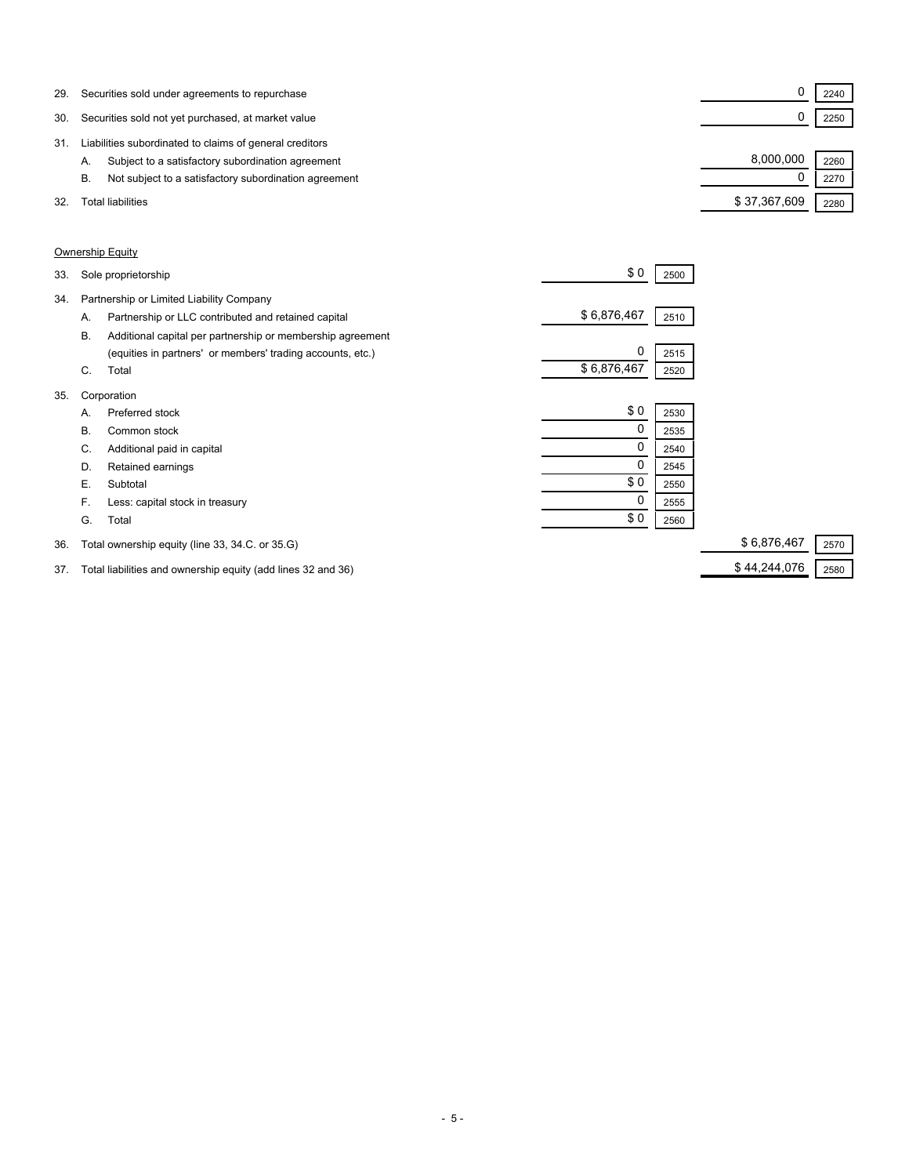| 29. | Securities sold under agreements to repurchase              |              | 2240 |  |
|-----|-------------------------------------------------------------|--------------|------|--|
| 30. | Securities sold not yet purchased, at market value          |              | 2250 |  |
| 31  | Liabilities subordinated to claims of general creditors     |              |      |  |
|     | Subject to a satisfactory subordination agreement<br>А.     | 8.000.000    | 2260 |  |
|     | Not subject to a satisfactory subordination agreement<br>В. |              | 2270 |  |
| 32. | Total liabilities                                           | \$37,367,609 | 2280 |  |

### Ownership Equity

| 33. |    | Sole proprietorship                                        | \$0         | 2500 |                     |
|-----|----|------------------------------------------------------------|-------------|------|---------------------|
| 34. |    | Partnership or Limited Liability Company                   |             |      |                     |
|     | А. | Partnership or LLC contributed and retained capital        | \$6,876,467 | 2510 |                     |
|     | В. | Additional capital per partnership or membership agreement |             |      |                     |
|     |    | (equities in partners' or members' trading accounts, etc.) | 0           | 2515 |                     |
|     | C. | Total                                                      | \$6,876,467 | 2520 |                     |
| 35. |    | Corporation                                                |             |      |                     |
|     | А. | Preferred stock                                            | \$0         | 2530 |                     |
|     | В. | Common stock                                               |             | 2535 |                     |
|     | C. | Additional paid in capital                                 |             | 2540 |                     |
|     | D. | Retained earnings                                          | 0           | 2545 |                     |
|     | Е. | Subtotal                                                   | \$0         | 2550 |                     |
|     | F. | Less: capital stock in treasury                            |             | 2555 |                     |
|     | G. | Total                                                      | \$0         | 2560 |                     |
| 36. |    | Total ownership equity (line 33, 34.C. or 35.G)            |             |      | \$6,876,467<br>2570 |

37. Total liabilities and ownership equity (add lines 32 and 36) \$ 44,244,076 2580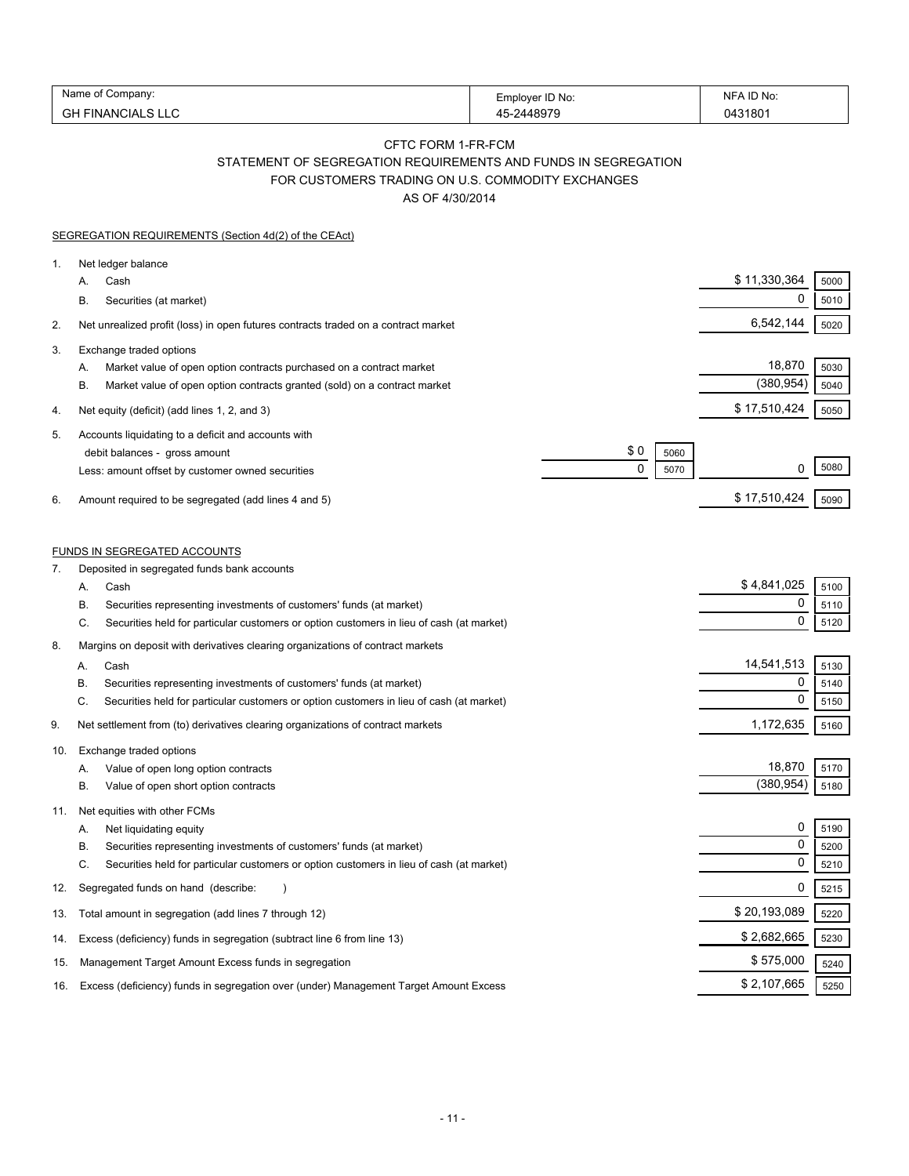| Name<br>∶ompanv:               | Employer ID No: | . ID No<br>NE |
|--------------------------------|-----------------|---------------|
| $\sim$<br>FINANCIALS LLC<br>סט | $AA$ 807 $C$    | 043180        |

# CFTC FORM 1-FR-FCM STATEMENT OF SEGREGATION REQUIREMENTS AND FUNDS IN SEGREGATION FOR CUSTOMERS TRADING ON U.S. COMMODITY EXCHANGES

AS OF 4/30/2014

|          | <b>SEGREGATION REQUIREMENTS (Section 4d(2) of the CEAct)</b>                                                                                                                                                                                                                |                          |                                          |                      |
|----------|-----------------------------------------------------------------------------------------------------------------------------------------------------------------------------------------------------------------------------------------------------------------------------|--------------------------|------------------------------------------|----------------------|
| 1.       | Net ledger balance<br>Cash<br>А.<br>В.<br>Securities (at market)                                                                                                                                                                                                            |                          | \$11,330,364<br>0                        | 5000<br>5010         |
| 2.       | Net unrealized profit (loss) in open futures contracts traded on a contract market                                                                                                                                                                                          |                          | 6,542,144                                | 5020                 |
| 3.       | Exchange traded options<br>Market value of open option contracts purchased on a contract market<br>Α.<br>В.<br>Market value of open option contracts granted (sold) on a contract market                                                                                    |                          | 18,870<br>(380, 954)                     | 5030<br>5040         |
| 4.       | Net equity (deficit) (add lines 1, 2, and 3)                                                                                                                                                                                                                                |                          | \$17,510,424                             | 5050                 |
| 5.<br>6. | Accounts liquidating to a deficit and accounts with<br>debit balances - gross amount<br>Less: amount offset by customer owned securities<br>Amount required to be segregated (add lines 4 and 5)                                                                            | \$0<br>5060<br>0<br>5070 | 0<br>\$17,510,424                        | 5080<br>5090         |
|          | FUNDS IN SEGREGATED ACCOUNTS                                                                                                                                                                                                                                                |                          |                                          |                      |
| 7.       | Deposited in segregated funds bank accounts<br>Cash<br>А.<br>Securities representing investments of customers' funds (at market)<br>В.<br>C.<br>Securities held for particular customers or option customers in lieu of cash (at market)                                    |                          | \$4,841,025<br>0<br>$\mathbf 0$          | 5100<br>5110<br>5120 |
| 8.       | Margins on deposit with derivatives clearing organizations of contract markets<br>Cash<br>Α.<br>Securities representing investments of customers' funds (at market)<br>В.<br>Securities held for particular customers or option customers in lieu of cash (at market)<br>C. |                          | 14,541,513<br>$\mathbf 0$<br>$\mathbf 0$ | 5130<br>5140<br>5150 |
| 9.       | Net settlement from (to) derivatives clearing organizations of contract markets                                                                                                                                                                                             |                          | 1,172,635                                | 5160                 |
| 10.      | Exchange traded options<br>Value of open long option contracts<br>А.<br>В.<br>Value of open short option contracts                                                                                                                                                          |                          | 18,870<br>(380, 954)                     | 5170<br>5180         |
| 11.      | Net equities with other FCMs<br>Net liquidating equity<br>А.<br>В.<br>Securities representing investments of customers' funds (at market)<br>C.<br>Securities held for particular customers or option customers in lieu of cash (at market)                                 |                          | 0<br>$\mathbf 0$<br>0                    | 5190<br>5200<br>5210 |
| 12.      | Segregated funds on hand (describe:                                                                                                                                                                                                                                         |                          | 0                                        | 5215                 |
| 13.      | Total amount in segregation (add lines 7 through 12)                                                                                                                                                                                                                        |                          | \$20,193,089                             | 5220                 |
| 14.      | Excess (deficiency) funds in segregation (subtract line 6 from line 13)                                                                                                                                                                                                     |                          | \$2,682,665                              | 5230                 |
| 15.      | Management Target Amount Excess funds in segregation                                                                                                                                                                                                                        |                          | \$575,000                                | 5240                 |
| 16.      | Excess (deficiency) funds in segregation over (under) Management Target Amount Excess                                                                                                                                                                                       |                          | \$2,107,665                              | 5250                 |
|          |                                                                                                                                                                                                                                                                             |                          |                                          |                      |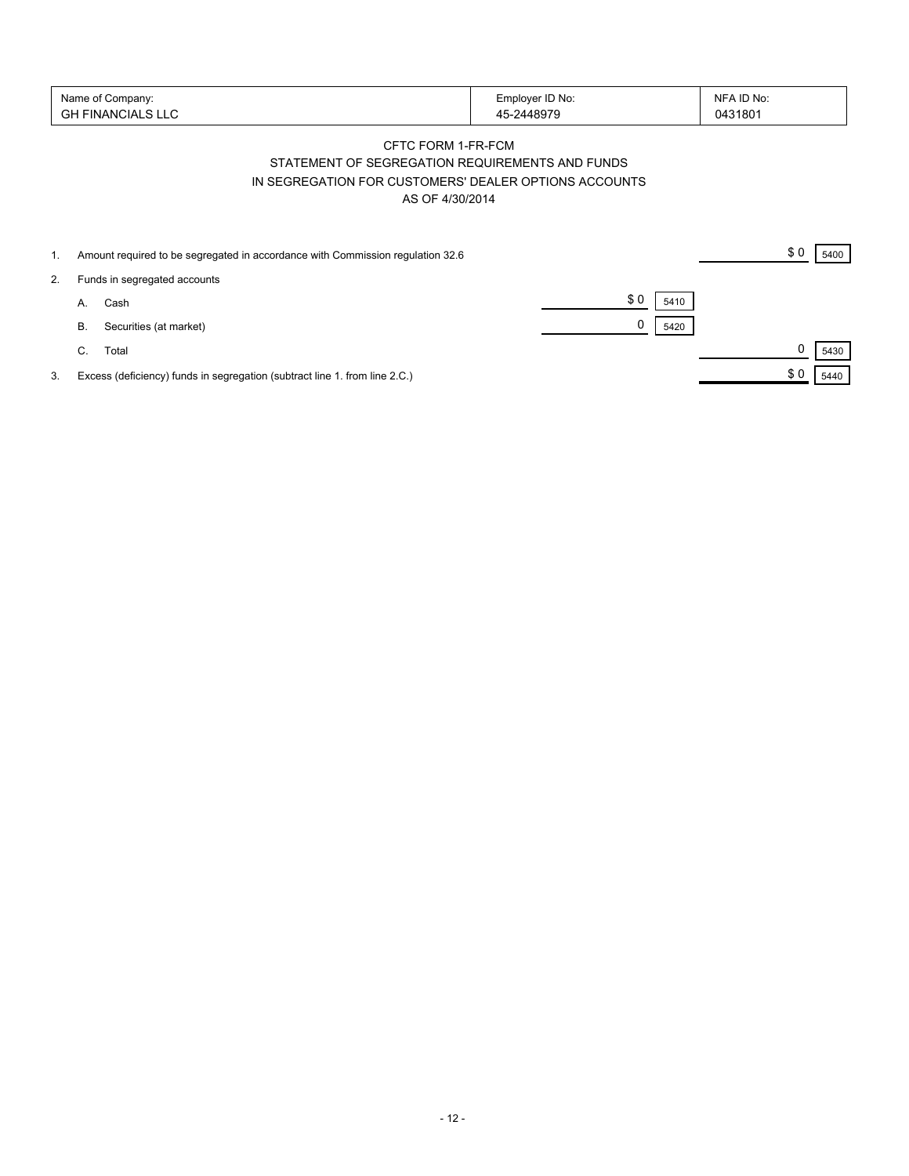| Name of Company:   | Employer ID No: | NFA ID No: |
|--------------------|-----------------|------------|
| 'GH FINANCIALS LLC | -2448979        | 0431801    |

## CFTC FORM 1-FR-FCM STATEMENT OF SEGREGATION REQUIREMENTS AND FUNDS IN SEGREGATION FOR CUSTOMERS' DEALER OPTIONS ACCOUNTS AS OF 4/30/2014

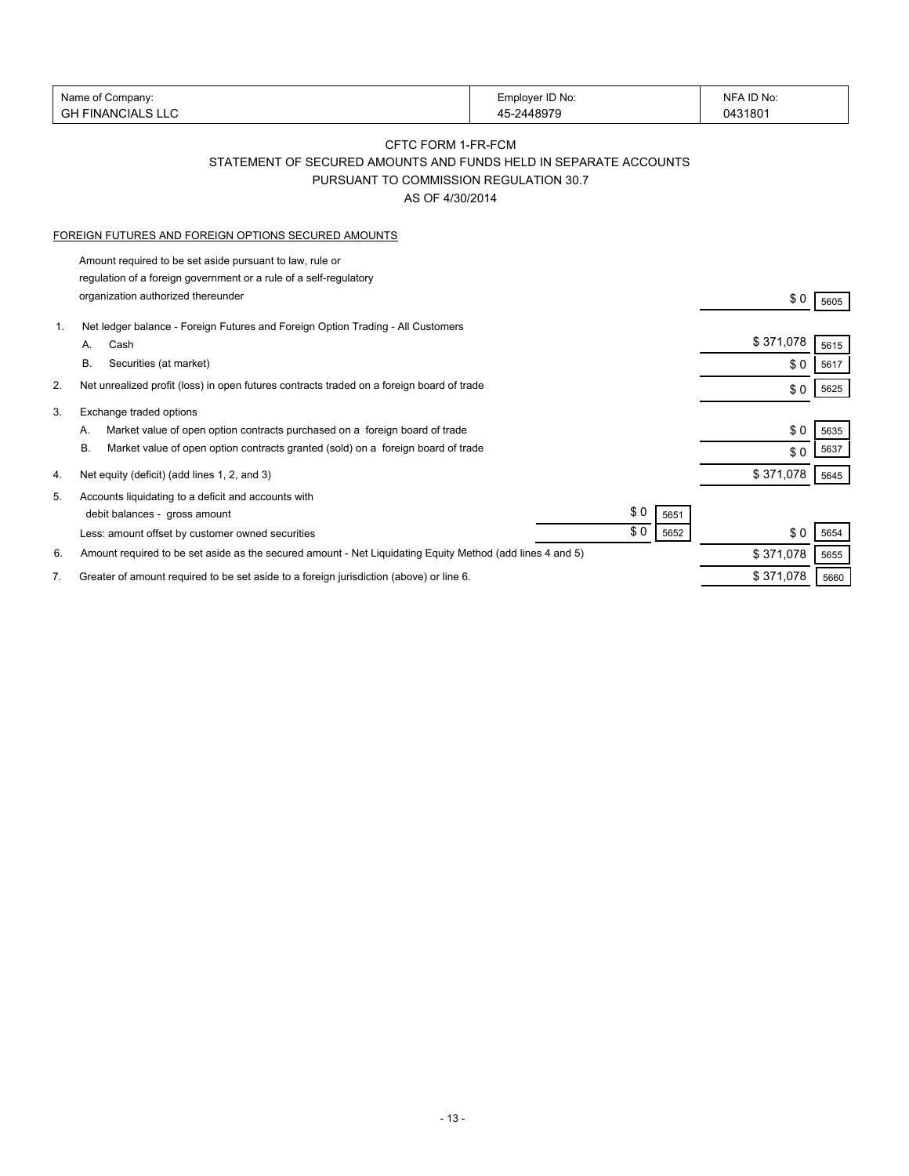|    | Name of Company:                                                                                          | Employer ID No: | NFA ID No: |      |
|----|-----------------------------------------------------------------------------------------------------------|-----------------|------------|------|
|    | <b>GH FINANCIALS LLC</b>                                                                                  | 45-2448979      | 0431801    |      |
|    | CFTC FORM 1-FR-FCM                                                                                        |                 |            |      |
|    | STATEMENT OF SECURED AMOUNTS AND FUNDS HELD IN SEPARATE ACCOUNTS                                          |                 |            |      |
|    | PURSUANT TO COMMISSION REGULATION 30.7                                                                    |                 |            |      |
|    | AS OF 4/30/2014                                                                                           |                 |            |      |
|    |                                                                                                           |                 |            |      |
|    | FOREIGN FUTURES AND FOREIGN OPTIONS SECURED AMOUNTS                                                       |                 |            |      |
|    | Amount required to be set aside pursuant to law, rule or                                                  |                 |            |      |
|    | regulation of a foreign government or a rule of a self-regulatory                                         |                 |            |      |
|    | organization authorized thereunder                                                                        |                 | \$0        | 5605 |
|    |                                                                                                           |                 |            |      |
| 1. | Net ledger balance - Foreign Futures and Foreign Option Trading - All Customers                           |                 | \$371,078  |      |
|    | Cash<br>А.                                                                                                |                 |            | 5615 |
|    | В.<br>Securities (at market)                                                                              |                 | \$0        | 5617 |
| 2. | Net unrealized profit (loss) in open futures contracts traded on a foreign board of trade                 |                 | \$0        | 5625 |
| 3. | Exchange traded options                                                                                   |                 |            |      |
|    | Market value of open option contracts purchased on a foreign board of trade<br>А.                         |                 | \$0        | 5635 |
|    | Market value of open option contracts granted (sold) on a foreign board of trade<br>В.                    |                 | \$0        | 5637 |
|    |                                                                                                           |                 |            |      |
| 4. | Net equity (deficit) (add lines 1, 2, and 3)                                                              |                 | \$371,078  | 5645 |
| 5. | Accounts liquidating to a deficit and accounts with                                                       |                 |            |      |
|    | debit balances - gross amount                                                                             | \$0<br>5651     |            |      |
|    | Less: amount offset by customer owned securities                                                          | \$0<br>5652     | \$0        | 5654 |
| 6. | Amount required to be set aside as the secured amount - Net Liquidating Equity Method (add lines 4 and 5) |                 | \$371,078  | 5655 |
| 7. | Greater of amount required to be set aside to a foreign jurisdiction (above) or line 6.                   |                 | \$371,078  | 5660 |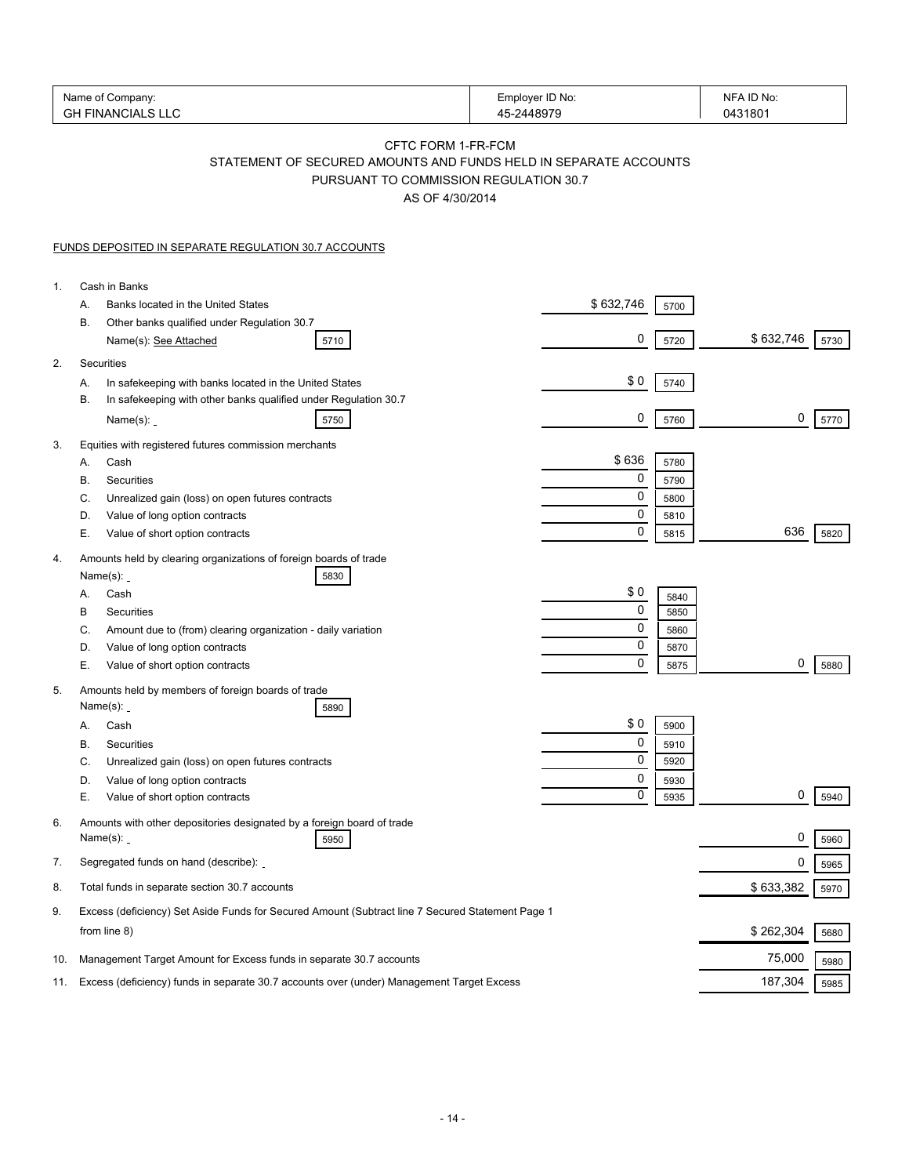| Name of Company:<br><b>GH FINANCIALS LLC</b>                                                                     |                                                                                                                                                     | Employer ID No:<br>45-2448979 | NFA ID No:<br>0431801     |
|------------------------------------------------------------------------------------------------------------------|-----------------------------------------------------------------------------------------------------------------------------------------------------|-------------------------------|---------------------------|
|                                                                                                                  | CFTC FORM 1-FR-FCM<br>STATEMENT OF SECURED AMOUNTS AND FUNDS HELD IN SEPARATE ACCOUNTS<br>PURSUANT TO COMMISSION REGULATION 30.7<br>AS OF 4/30/2014 |                               |                           |
| <b>FUNDS DEPOSITED IN SEPARATE REGULATION 30.7 ACCOUNTS</b>                                                      |                                                                                                                                                     |                               |                           |
| Cash in Banks<br>1.                                                                                              |                                                                                                                                                     |                               |                           |
| Banks located in the United States<br>А.                                                                         |                                                                                                                                                     | \$632,746                     | 5700                      |
| В.<br>Other banks qualified under Regulation 30.7<br>Name(s): See Attached                                       | 5710                                                                                                                                                | 0                             | \$632,746<br>5720<br>5730 |
| Securities<br>2.                                                                                                 |                                                                                                                                                     |                               |                           |
| In safekeeping with banks located in the United States<br>Α.                                                     |                                                                                                                                                     | \$0                           | 5740                      |
| В.<br>Name $(s)$ :                                                                                               | In safekeeping with other banks qualified under Regulation 30.7<br>5750                                                                             | 0                             | 0<br>5760<br>5770         |
| Equities with registered futures commission merchants<br>3.                                                      |                                                                                                                                                     |                               |                           |
| Cash<br>А.                                                                                                       |                                                                                                                                                     | \$636                         | 5780                      |
| Securities<br>В.                                                                                                 |                                                                                                                                                     | 0                             | 5790                      |
| Unrealized gain (loss) on open futures contracts<br>C.                                                           |                                                                                                                                                     | 0                             | 5800                      |
| Value of long option contracts<br>D.                                                                             |                                                                                                                                                     | 0<br>0                        | 5810<br>636               |
| Е.<br>Value of short option contracts<br>Amounts held by clearing organizations of foreign boards of trade<br>4. |                                                                                                                                                     |                               | 5820<br>5815              |
| Name $(s)$ :                                                                                                     | 5830                                                                                                                                                |                               |                           |
| Cash<br>А.                                                                                                       |                                                                                                                                                     | \$0                           | 5840                      |
| В<br>Securities                                                                                                  |                                                                                                                                                     | 0                             | 5850                      |
| C.                                                                                                               | Amount due to (from) clearing organization - daily variation                                                                                        | 0                             | 5860                      |
| Value of long option contracts<br>D.                                                                             |                                                                                                                                                     | 0<br>0                        | 5870<br>0                 |
| Е.<br>Value of short option contracts<br>Amounts held by members of foreign boards of trade<br>5.                |                                                                                                                                                     |                               | 5875<br>5880              |
| Name $(s)$ :                                                                                                     | 5890                                                                                                                                                |                               |                           |
| Cash<br>А.                                                                                                       |                                                                                                                                                     | \$0                           | 5900                      |
| В.<br>Securities                                                                                                 |                                                                                                                                                     | $\mathbf{0}$                  | 5910                      |
| C.<br>Unrealized gain (loss) on open futures contracts                                                           |                                                                                                                                                     | 0                             | 5920                      |
| Value of long option contracts<br>D.<br>Е.<br>Value of short option contracts                                    |                                                                                                                                                     | 0<br>0                        | 5930<br>0<br>5940<br>5935 |
| 6.<br>Name $(s)$ :                                                                                               | Amounts with other depositories designated by a foreign board of trade<br>5950                                                                      |                               | 0<br>5960                 |
| Segregated funds on hand (describe):<br>7.                                                                       |                                                                                                                                                     |                               | 0                         |
| Total funds in separate section 30.7 accounts<br>8.                                                              |                                                                                                                                                     |                               | 5965<br>\$633,382<br>5970 |
| 9.                                                                                                               | Excess (deficiency) Set Aside Funds for Secured Amount (Subtract line 7 Secured Statement Page 1                                                    |                               |                           |
| from line 8)                                                                                                     |                                                                                                                                                     |                               | \$262,304<br>5680         |
| 10.                                                                                                              | Management Target Amount for Excess funds in separate 30.7 accounts                                                                                 |                               | 75,000<br>5980            |
| 11.                                                                                                              | Excess (deficiency) funds in separate 30.7 accounts over (under) Management Target Excess                                                           |                               | 187,304<br>5985           |
|                                                                                                                  |                                                                                                                                                     |                               |                           |